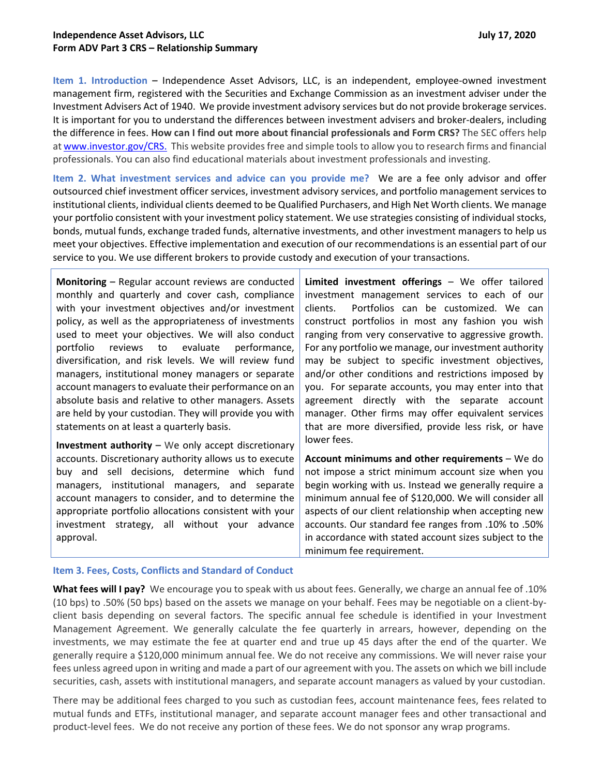**Item 1. Introduction –** Independence Asset Advisors, LLC, is an independent, employee-owned investment management firm, registered with the Securities and Exchange Commission as an investment adviser under the Investment Advisers Act of 1940. We provide investment advisory services but do not provide brokerage services. It is important for you to understand the differences between investment advisers and broker-dealers, including the difference in fees. **How can I find out more about financial professionals and Form CRS?** The SEC offers help at www.investor.gov/CRS. This website provides free and simple tools to allow you to research firms and financial professionals. You can also find educational materials about investment professionals and investing.

**Item 2. What investment services and advice can you provide me?** We are a fee only advisor and offer outsourced chief investment officer services, investment advisory services, and portfolio management services to institutional clients, individual clients deemed to be Qualified Purchasers, and High Net Worth clients. We manage your portfolio consistent with your investment policy statement. We use strategies consisting of individual stocks, bonds, mutual funds, exchange traded funds, alternative investments, and other investment managers to help us meet your objectives. Effective implementation and execution of our recommendations is an essential part of our service to you. We use different brokers to provide custody and execution of your transactions.

**Monitoring –** Regular account reviews are conducted monthly and quarterly and cover cash, compliance with your investment objectives and/or investment policy, as well as the appropriateness of investments used to meet your objectives. We will also conduct portfolio reviews to evaluate performance, diversification, and risk levels. We will review fund managers, institutional money managers or separate account managers to evaluate their performance on an absolute basis and relative to other managers. Assets are held by your custodian. They will provide you with statements on at least a quarterly basis.

**Investment authority –** We only accept discretionary accounts. Discretionary authority allows us to execute buy and sell decisions, determine which fund managers, institutional managers, and separate account managers to consider, and to determine the appropriate portfolio allocations consistent with your investment strategy, all without your advance approval.

**Limited investment offerings** – We offer tailored investment management services to each of our clients. Portfolios can be customized. We can construct portfolios in most any fashion you wish ranging from very conservative to aggressive growth. For any portfolio we manage, our investment authority may be subject to specific investment objectives, and/or other conditions and restrictions imposed by you. For separate accounts, you may enter into that agreement directly with the separate account manager. Other firms may offer equivalent services that are more diversified, provide less risk, or have lower fees.

**Account minimums and other requirements** – We do not impose a strict minimum account size when you begin working with us. Instead we generally require a minimum annual fee of \$120,000. We will consider all aspects of our client relationship when accepting new accounts. Our standard fee ranges from .10% to .50% in accordance with stated account sizes subject to the minimum fee requirement.

## **Item 3. Fees, Costs, Conflicts and Standard of Conduct**

**What fees will I pay?** We encourage you to speak with us about fees. Generally, we charge an annual fee of .10% (10 bps) to .50% (50 bps) based on the assets we manage on your behalf. Fees may be negotiable on a client-byclient basis depending on several factors. The specific annual fee schedule is identified in your Investment Management Agreement. We generally calculate the fee quarterly in arrears, however, depending on the investments, we may estimate the fee at quarter end and true up 45 days after the end of the quarter. We generally require a \$120,000 minimum annual fee. We do not receive any commissions. We will never raise your fees unless agreed upon in writing and made a part of our agreement with you. The assets on which we bill include securities, cash, assets with institutional managers, and separate account managers as valued by your custodian.

There may be additional fees charged to you such as custodian fees, account maintenance fees, fees related to mutual funds and ETFs, institutional manager, and separate account manager fees and other transactional and product-level fees. We do not receive any portion of these fees. We do not sponsor any wrap programs.